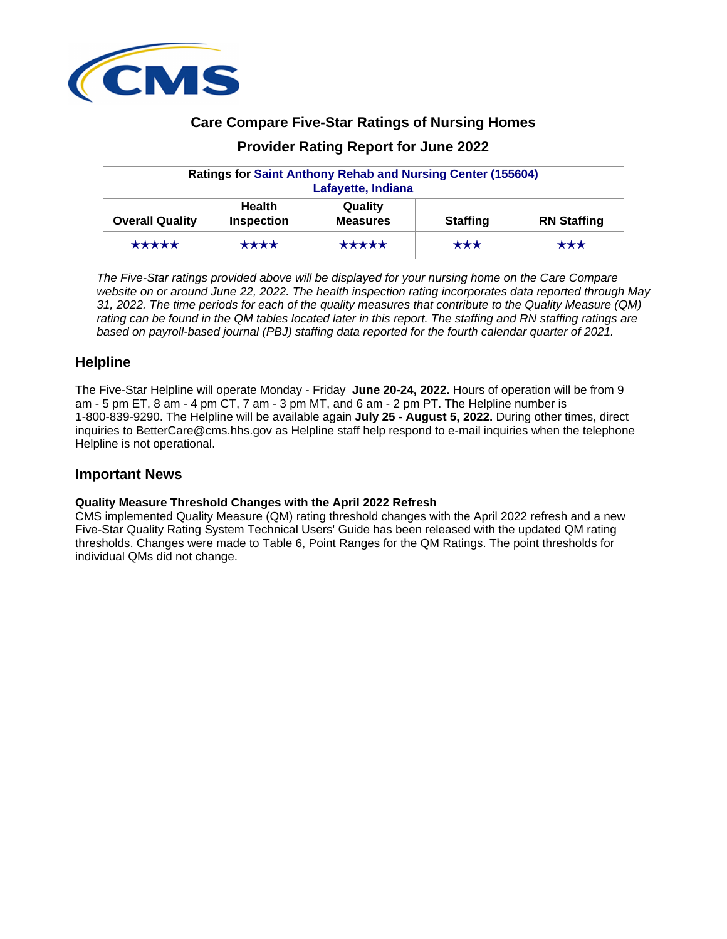

# **Care Compare Five-Star Ratings of Nursing Homes**

# **Provider Rating Report for June 2022**

| <b>Ratings for Saint Anthony Rehab and Nursing Center (155604)</b><br>Lafayette, Indiana |                                    |                            |                   |                    |  |  |
|------------------------------------------------------------------------------------------|------------------------------------|----------------------------|-------------------|--------------------|--|--|
| <b>Overall Quality</b>                                                                   | <b>Health</b><br><b>Inspection</b> | Quality<br><b>Measures</b> | <b>Staffing</b>   | <b>RN Staffing</b> |  |  |
| *****                                                                                    | ****                               | *****                      | $\star\star\star$ | $\star\star\star$  |  |  |

The Five-Star ratings provided above will be displayed for your nursing home on the Care Compare website on or around June 22, 2022. The health inspection rating incorporates data reported through May 31, 2022. The time periods for each of the quality measures that contribute to the Quality Measure (QM) rating can be found in the QM tables located later in this report. The staffing and RN staffing ratings are based on payroll-based journal (PBJ) staffing data reported for the fourth calendar quarter of 2021.

### **Helpline**

The Five-Star Helpline will operate Monday - Friday **June 20-24, 2022.** Hours of operation will be from 9 am - 5 pm ET, 8 am - 4 pm CT, 7 am - 3 pm MT, and 6 am - 2 pm PT. The Helpline number is 1-800-839-9290. The Helpline will be available again **July 25 - August 5, 2022.** During other times, direct inquiries to BetterCare@cms.hhs.gov as Helpline staff help respond to e-mail inquiries when the telephone Helpline is not operational.

## **Important News**

### **Quality Measure Threshold Changes with the April 2022 Refresh**

CMS implemented Quality Measure (QM) rating threshold changes with the April 2022 refresh and a new Five-Star Quality Rating System Technical Users' Guide has been released with the updated QM rating thresholds. Changes were made to Table 6, Point Ranges for the QM Ratings. The point thresholds for individual QMs did not change.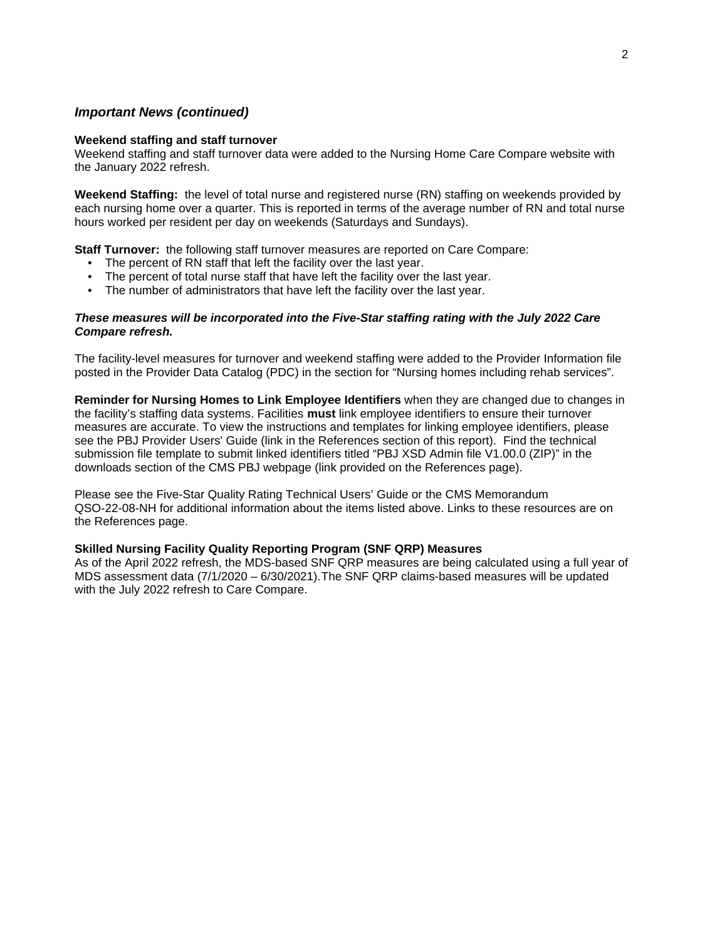### **Important News (continued)**

#### **Weekend staffing and staff turnover**

Weekend staffing and staff turnover data were added to the Nursing Home Care Compare website with the January 2022 refresh.

**Weekend Staffing:** the level of total nurse and registered nurse (RN) staffing on weekends provided by each nursing home over a quarter. This is reported in terms of the average number of RN and total nurse hours worked per resident per day on weekends (Saturdays and Sundays).

**Staff Turnover:** the following staff turnover measures are reported on Care Compare:

- The percent of RN staff that left the facility over the last year.
- The percent of total nurse staff that have left the facility over the last year.
- The number of administrators that have left the facility over the last year.

#### **These measures will be incorporated into the Five-Star staffing rating with the July 2022 Care Compare refresh.**

The facility-level measures for turnover and weekend staffing were added to the Provider Information file posted in the Provider Data Catalog (PDC) in the section for "Nursing homes including rehab services".

**Reminder for Nursing Homes to Link Employee Identifiers** when they are changed due to changes in the facility's staffing data systems. Facilities **must** link employee identifiers to ensure their turnover measures are accurate. To view the instructions and templates for linking employee identifiers, please see the PBJ Provider Users' Guide (link in the References section of this report). Find the technical submission file template to submit linked identifiers titled "PBJ XSD Admin file V1.00.0 (ZIP)" in the downloads section of the CMS PBJ webpage (link provided on the References page).

Please see the Five-Star Quality Rating Technical Users' Guide or the CMS Memorandum QSO-22-08-NH for additional information about the items listed above. Links to these resources are on the References page.

#### **Skilled Nursing Facility Quality Reporting Program (SNF QRP) Measures**

As of the April 2022 refresh, the MDS-based SNF QRP measures are being calculated using a full year of MDS assessment data (7/1/2020 – 6/30/2021). The SNF QRP claims-based measures will be updated with the July 2022 refresh to Care Compare.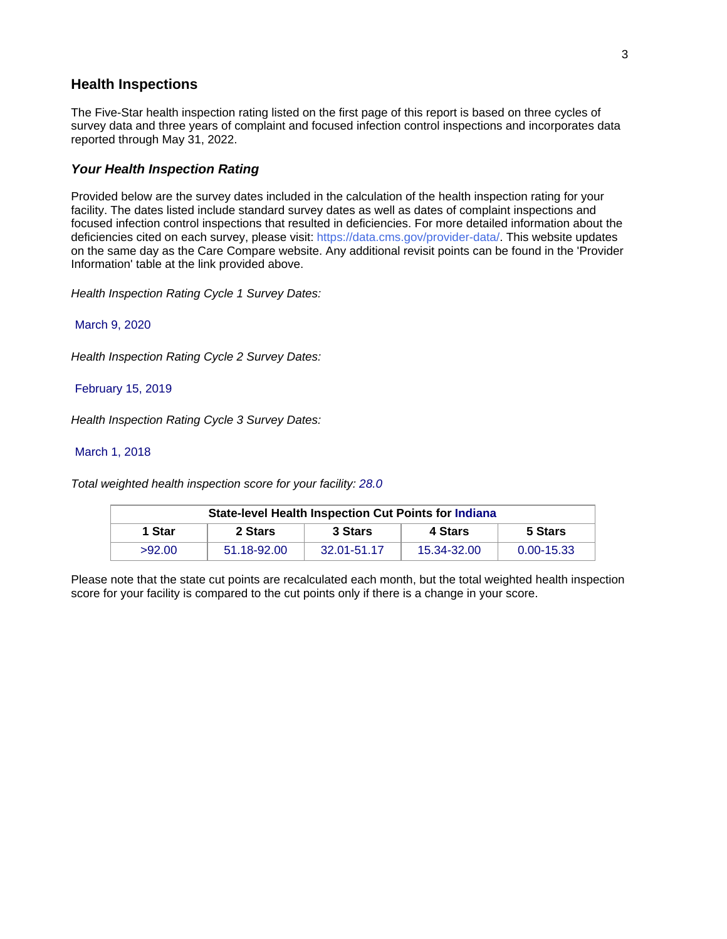### **Health Inspections**

The Five-Star health inspection rating listed on the first page of this report is based on three cycles of survey data and three years of complaint and focused infection control inspections and incorporates data reported through May 31, 2022.

### **Your Health Inspection Rating**

Provided below are the survey dates included in the calculation of the health inspection rating for your facility. The dates listed include standard survey dates as well as dates of complaint inspections and focused infection control inspections that resulted in deficiencies. For more detailed information about the deficiencies cited on each survey, please visit: https://data.cms.gov/provider-data/. This website updates on the same day as the Care Compare website. Any additional revisit points can be found in the 'Provider Information' table at the link provided above.

Health Inspection Rating Cycle 1 Survey Dates:

March 9, 2020

Health Inspection Rating Cycle 2 Survey Dates:

#### February 15, 2019

Health Inspection Rating Cycle 3 Survey Dates:

#### March 1, 2018

Total weighted health inspection score for your facility: 28.0

| <b>State-level Health Inspection Cut Points for Indiana</b> |             |             |             |                |  |  |  |
|-------------------------------------------------------------|-------------|-------------|-------------|----------------|--|--|--|
| 1 Star                                                      | 2 Stars     | 3 Stars     | 4 Stars     | 5 Stars        |  |  |  |
| >92.00                                                      | 51.18-92.00 | 32.01-51.17 | 15.34-32.00 | $0.00 - 15.33$ |  |  |  |

Please note that the state cut points are recalculated each month, but the total weighted health inspection score for your facility is compared to the cut points only if there is a change in your score.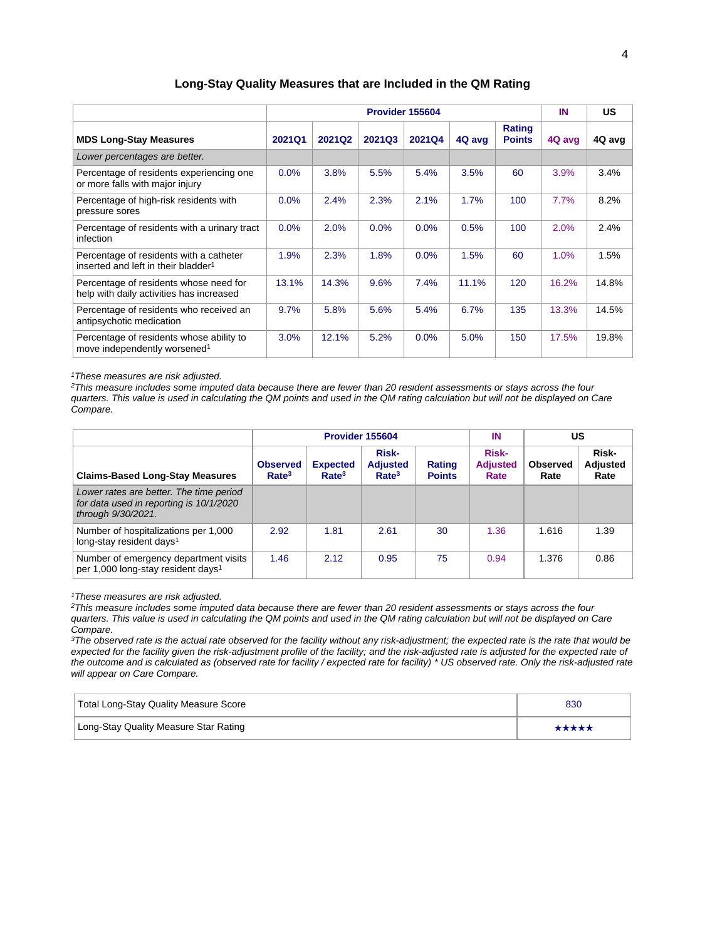|                                                                                            | Provider 155604 |               |        |               |        |                         | IN     | <b>US</b> |
|--------------------------------------------------------------------------------------------|-----------------|---------------|--------|---------------|--------|-------------------------|--------|-----------|
| <b>MDS Long-Stay Measures</b>                                                              | <b>2021Q1</b>   | <b>2021Q2</b> | 2021Q3 | <b>2021Q4</b> | 4Q avg | Rating<br><b>Points</b> | 4Q avg | 4Q avg    |
| Lower percentages are better.                                                              |                 |               |        |               |        |                         |        |           |
| Percentage of residents experiencing one<br>or more falls with major injury                | 0.0%            | 3.8%          | 5.5%   | 5.4%          | 3.5%   | 60                      | 3.9%   | 3.4%      |
| Percentage of high-risk residents with<br>pressure sores                                   | 0.0%            | 2.4%          | 2.3%   | 2.1%          | 1.7%   | 100                     | 7.7%   | 8.2%      |
| Percentage of residents with a urinary tract<br>infection                                  | 0.0%            | 2.0%          | 0.0%   | 0.0%          | 0.5%   | 100                     | 2.0%   | 2.4%      |
| Percentage of residents with a catheter<br>inserted and left in their bladder <sup>1</sup> | 1.9%            | 2.3%          | 1.8%   | 0.0%          | 1.5%   | 60                      | 1.0%   | 1.5%      |
| Percentage of residents whose need for<br>help with daily activities has increased         | 13.1%           | 14.3%         | 9.6%   | 7.4%          | 11.1%  | 120                     | 16.2%  | 14.8%     |
| Percentage of residents who received an<br>antipsychotic medication                        | 9.7%            | 5.8%          | 5.6%   | 5.4%          | 6.7%   | 135                     | 13.3%  | 14.5%     |
| Percentage of residents whose ability to<br>move independently worsened <sup>1</sup>       | 3.0%            | 12.1%         | 5.2%   | 0.0%          | 5.0%   | 150                     | 17.5%  | 19.8%     |

#### **Long-Stay Quality Measures that are Included in the QM Rating**

<sup>1</sup>These measures are risk adjusted.

<sup>2</sup>This measure includes some imputed data because there are fewer than 20 resident assessments or stays across the four quarters. This value is used in calculating the QM points and used in the QM rating calculation but will not be displayed on Care Compare.

|                                                                                                          |                                      |                                      | Provider 155604                               | IN                      | US                                      |                         |                                  |
|----------------------------------------------------------------------------------------------------------|--------------------------------------|--------------------------------------|-----------------------------------------------|-------------------------|-----------------------------------------|-------------------------|----------------------------------|
| <b>Claims-Based Long-Stay Measures</b>                                                                   | <b>Observed</b><br>Rate <sup>3</sup> | <b>Expected</b><br>Rate <sup>3</sup> | Risk-<br><b>Adjusted</b><br>Rate <sup>3</sup> | Rating<br><b>Points</b> | <b>Risk-</b><br><b>Adjusted</b><br>Rate | <b>Observed</b><br>Rate | Risk-<br><b>Adjusted</b><br>Rate |
| Lower rates are better. The time period<br>for data used in reporting is 10/1/2020<br>through 9/30/2021. |                                      |                                      |                                               |                         |                                         |                         |                                  |
| Number of hospitalizations per 1,000<br>long-stay resident days <sup>1</sup>                             | 2.92                                 | 1.81                                 | 2.61                                          | 30                      | 1.36                                    | 1.616                   | 1.39                             |
| Number of emergency department visits<br>per 1,000 long-stay resident days <sup>1</sup>                  | 1.46                                 | 2.12                                 | 0.95                                          | 75                      | 0.94                                    | 1.376                   | 0.86                             |

<sup>1</sup>These measures are risk adjusted.

<sup>2</sup>This measure includes some imputed data because there are fewer than 20 resident assessments or stays across the four quarters. This value is used in calculating the QM points and used in the QM rating calculation but will not be displayed on Care Compare.

 $3$ The observed rate is the actual rate observed for the facility without any risk-adjustment; the expected rate is the rate that would be expected for the facility given the risk-adjustment profile of the facility; and the risk-adjusted rate is adjusted for the expected rate of the outcome and is calculated as (observed rate for facility / expected rate for facility) \* US observed rate. Only the risk-adjusted rate will appear on Care Compare.

| Total Long-Stay Quality Measure Score | 830   |
|---------------------------------------|-------|
| Long-Stay Quality Measure Star Rating | ***** |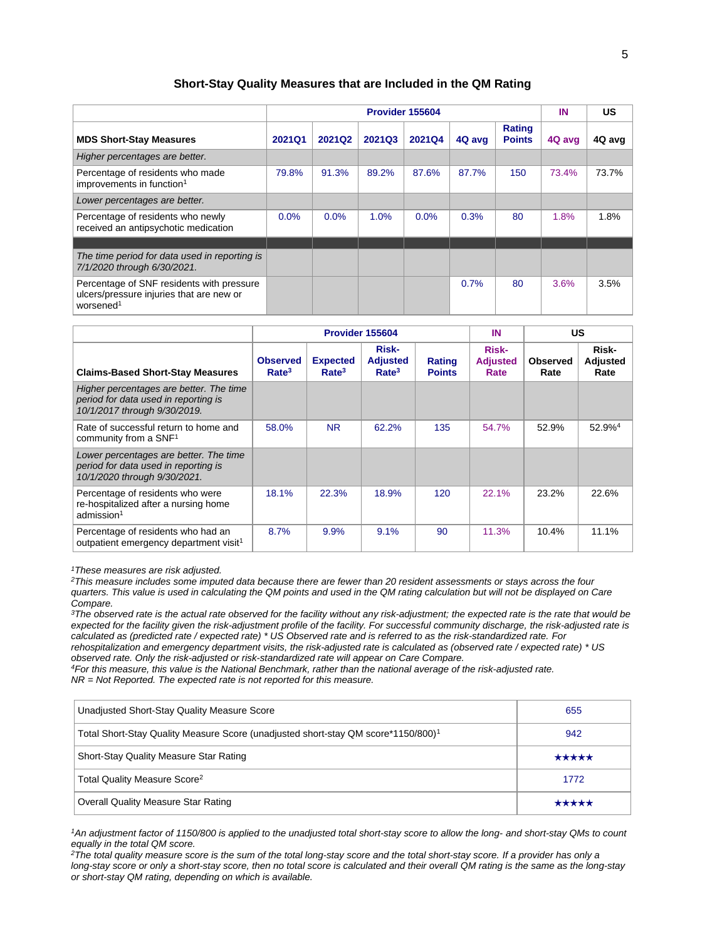#### **Short-Stay Quality Measures that are Included in the QM Rating**

|                                                                                                                |               | Provider 155604 |        |               |        |                                |        | <b>US</b> |
|----------------------------------------------------------------------------------------------------------------|---------------|-----------------|--------|---------------|--------|--------------------------------|--------|-----------|
| <b>MDS Short-Stay Measures</b>                                                                                 | <b>2021Q1</b> | 2021Q2          | 2021Q3 | <b>2021Q4</b> | 4Q avg | <b>Rating</b><br><b>Points</b> | 4Q avg | 4Q avg    |
| Higher percentages are better.                                                                                 |               |                 |        |               |        |                                |        |           |
| Percentage of residents who made<br>improvements in function <sup>1</sup>                                      | 79.8%         | 91.3%           | 89.2%  | 87.6%         | 87.7%  | 150                            | 73.4%  | 73.7%     |
| Lower percentages are better.                                                                                  |               |                 |        |               |        |                                |        |           |
| Percentage of residents who newly<br>received an antipsychotic medication                                      | 0.0%          | 0.0%            | 1.0%   | 0.0%          | 0.3%   | 80                             | 1.8%   | 1.8%      |
|                                                                                                                |               |                 |        |               |        |                                |        |           |
| The time period for data used in reporting is<br>7/1/2020 through 6/30/2021.                                   |               |                 |        |               |        |                                |        |           |
| Percentage of SNF residents with pressure<br>ulcers/pressure injuries that are new or<br>worsened <sup>1</sup> |               |                 |        |               | 0.7%   | 80                             | 3.6%   | 3.5%      |

|                                                                                                                 | Provider 155604                      |                                      |                                               |                         | IN                                      | US                      |                           |
|-----------------------------------------------------------------------------------------------------------------|--------------------------------------|--------------------------------------|-----------------------------------------------|-------------------------|-----------------------------------------|-------------------------|---------------------------|
| <b>Claims-Based Short-Stay Measures</b>                                                                         | <b>Observed</b><br>Rate <sup>3</sup> | <b>Expected</b><br>Rate <sup>3</sup> | Risk-<br><b>Adjusted</b><br>Rate <sup>3</sup> | Rating<br><b>Points</b> | <b>Risk-</b><br><b>Adjusted</b><br>Rate | <b>Observed</b><br>Rate | Risk-<br>Adjusted<br>Rate |
| Higher percentages are better. The time<br>period for data used in reporting is<br>10/1/2017 through 9/30/2019. |                                      |                                      |                                               |                         |                                         |                         |                           |
| Rate of successful return to home and<br>community from a SNF <sup>1</sup>                                      | 58.0%                                | <b>NR</b>                            | 62.2%                                         | 135                     | 54.7%                                   | 52.9%                   | 52.9% <sup>4</sup>        |
| Lower percentages are better. The time<br>period for data used in reporting is<br>10/1/2020 through 9/30/2021.  |                                      |                                      |                                               |                         |                                         |                         |                           |
| Percentage of residents who were<br>re-hospitalized after a nursing home<br>admission <sup>1</sup>              | 18.1%                                | 22.3%                                | 18.9%                                         | 120                     | 22.1%                                   | 23.2%                   | 22.6%                     |
| Percentage of residents who had an<br>outpatient emergency department visit <sup>1</sup>                        | 8.7%                                 | 9.9%                                 | 9.1%                                          | 90                      | 11.3%                                   | 10.4%                   | 11.1%                     |

<sup>1</sup>These measures are risk adjusted.

<sup>2</sup>This measure includes some imputed data because there are fewer than 20 resident assessments or stays across the four quarters. This value is used in calculating the QM points and used in the QM rating calculation but will not be displayed on Care Compare.

<sup>3</sup>The observed rate is the actual rate observed for the facility without any risk-adjustment; the expected rate is the rate that would be expected for the facility given the risk-adjustment profile of the facility. For successful community discharge, the risk-adjusted rate is calculated as (predicted rate / expected rate) \* US Observed rate and is referred to as the risk-standardized rate. For rehospitalization and emergency department visits, the risk-adjusted rate is calculated as (observed rate / expected rate) \* US observed rate. Only the risk-adjusted or risk-standardized rate will appear on Care Compare.

<sup>4</sup>For this measure, this value is the National Benchmark, rather than the national average of the risk-adjusted rate.  $NR = Not Reported.$  The expected rate is not reported for this measure.

| Unadjusted Short-Stay Quality Measure Score                                                   | 655   |
|-----------------------------------------------------------------------------------------------|-------|
| Total Short-Stay Quality Measure Score (unadjusted short-stay QM score*1150/800) <sup>1</sup> | 942   |
| Short-Stay Quality Measure Star Rating                                                        | ***** |
| Total Quality Measure Score <sup>2</sup>                                                      | 1772  |
| <b>Overall Quality Measure Star Rating</b>                                                    | ***** |

<sup>1</sup>An adjustment factor of 1150/800 is applied to the unadjusted total short-stay score to allow the long- and short-stay QMs to count equally in the total QM score.

 $2$ The total quality measure score is the sum of the total long-stay score and the total short-stay score. If a provider has only a long-stay score or only a short-stay score, then no total score is calculated and their overall QM rating is the same as the long-stay or short-stay QM rating, depending on which is available.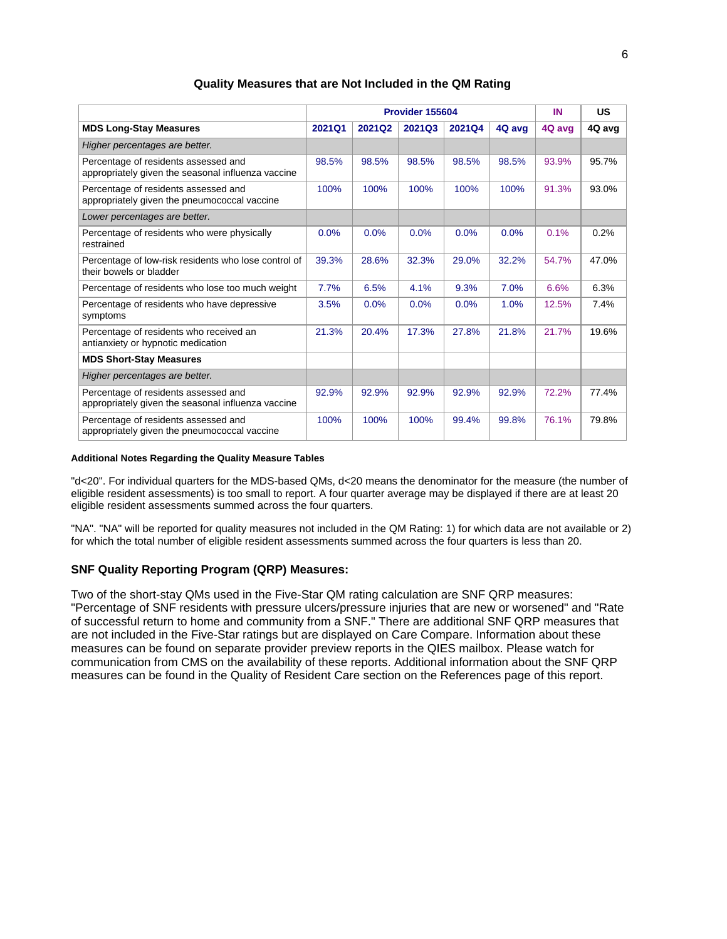|                                                                                            |        | Provider 155604 |               | IN     | US     |        |        |
|--------------------------------------------------------------------------------------------|--------|-----------------|---------------|--------|--------|--------|--------|
| <b>MDS Long-Stay Measures</b>                                                              | 2021Q1 | 2021Q2          | <b>2021Q3</b> | 2021Q4 | 4Q avg | 4Q avg | 4Q avg |
| Higher percentages are better.                                                             |        |                 |               |        |        |        |        |
| Percentage of residents assessed and<br>appropriately given the seasonal influenza vaccine | 98.5%  | 98.5%           | 98.5%         | 98.5%  | 98.5%  | 93.9%  | 95.7%  |
| Percentage of residents assessed and<br>appropriately given the pneumococcal vaccine       | 100%   | 100%            | 100%          | 100%   | 100%   | 91.3%  | 93.0%  |
| Lower percentages are better.                                                              |        |                 |               |        |        |        |        |
| Percentage of residents who were physically<br>restrained                                  | 0.0%   | 0.0%            | 0.0%          | 0.0%   | 0.0%   | 0.1%   | 0.2%   |
| Percentage of low-risk residents who lose control of<br>their bowels or bladder            | 39.3%  | 28.6%           | 32.3%         | 29.0%  | 32.2%  | 54.7%  | 47.0%  |
| Percentage of residents who lose too much weight                                           | 7.7%   | 6.5%            | 4.1%          | 9.3%   | 7.0%   | 6.6%   | 6.3%   |
| Percentage of residents who have depressive<br>symptoms                                    | 3.5%   | 0.0%            | 0.0%          | 0.0%   | 1.0%   | 12.5%  | 7.4%   |
| Percentage of residents who received an<br>antianxiety or hypnotic medication              | 21.3%  | 20.4%           | 17.3%         | 27.8%  | 21.8%  | 21.7%  | 19.6%  |
| <b>MDS Short-Stay Measures</b>                                                             |        |                 |               |        |        |        |        |
| Higher percentages are better.                                                             |        |                 |               |        |        |        |        |
| Percentage of residents assessed and<br>appropriately given the seasonal influenza vaccine | 92.9%  | 92.9%           | 92.9%         | 92.9%  | 92.9%  | 72.2%  | 77.4%  |
| Percentage of residents assessed and<br>appropriately given the pneumococcal vaccine       | 100%   | 100%            | 100%          | 99.4%  | 99.8%  | 76.1%  | 79.8%  |

#### **Quality Measures that are Not Included in the QM Rating**

#### **Additional Notes Regarding the Quality Measure Tables**

"d<20". For individual quarters for the MDS-based QMs, d<20 means the denominator for the measure (the number of eligible resident assessments) is too small to report. A four quarter average may be displayed if there are at least 20 eligible resident assessments summed across the four quarters.

"NA". "NA" will be reported for quality measures not included in the QM Rating: 1) for which data are not available or 2) for which the total number of eligible resident assessments summed across the four quarters is less than 20.

#### **SNF Quality Reporting Program (QRP) Measures:**

Two of the short-stay QMs used in the Five-Star QM rating calculation are SNF QRP measures: "Percentage of SNF residents with pressure ulcers/pressure injuries that are new or worsened" and "Rate of successful return to home and community from a SNF." There are additional SNF QRP measures that are not included in the Five-Star ratings but are displayed on Care Compare. Information about these measures can be found on separate provider preview reports in the QIES mailbox. Please watch for communication from CMS on the availability of these reports. Additional information about the SNF QRP measures can be found in the Quality of Resident Care section on the References page of this report.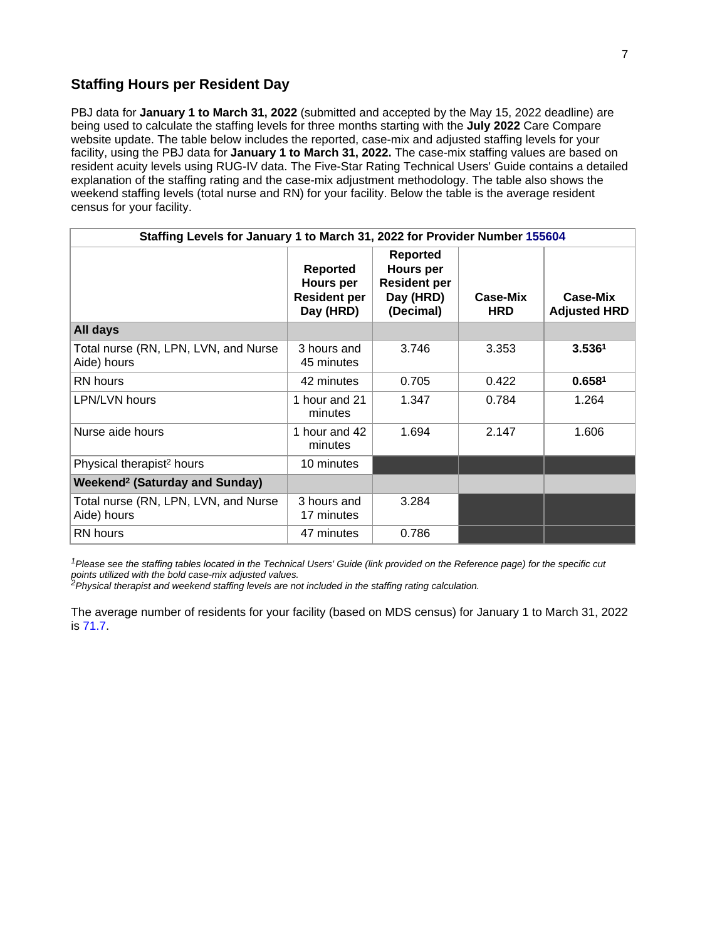### **Staffing Hours per Resident Day**

PBJ data for **January 1 to March 31, 2022** (submitted and accepted by the May 15, 2022 deadline) are being used to calculate the staffing levels for three months starting with the **July 2022** Care Compare website update. The table below includes the reported, case-mix and adjusted staffing levels for your facility, using the PBJ data for **January 1 to March 31, 2022.** The case-mix staffing values are based on resident acuity levels using RUG-IV data. The Five-Star Rating Technical Users' Guide contains a detailed explanation of the staffing rating and the case-mix adjustment methodology. The table also shows the weekend staffing levels (total nurse and RN) for your facility. Below the table is the average resident census for your facility.

| Staffing Levels for January 1 to March 31, 2022 for Provider Number 155604 |                                                                  |                                                                                      |                        |                                 |  |  |
|----------------------------------------------------------------------------|------------------------------------------------------------------|--------------------------------------------------------------------------------------|------------------------|---------------------------------|--|--|
|                                                                            | <b>Reported</b><br>Hours per<br><b>Resident per</b><br>Day (HRD) | <b>Reported</b><br><b>Hours per</b><br><b>Resident per</b><br>Day (HRD)<br>(Decimal) | Case-Mix<br><b>HRD</b> | Case-Mix<br><b>Adjusted HRD</b> |  |  |
| All days                                                                   |                                                                  |                                                                                      |                        |                                 |  |  |
| Total nurse (RN, LPN, LVN, and Nurse<br>Aide) hours                        | 3 hours and<br>45 minutes                                        | 3.746                                                                                | 3.353                  | 3.536 <sup>1</sup>              |  |  |
| RN hours                                                                   | 42 minutes                                                       | 0.705                                                                                | 0.422                  | 0.658 <sup>1</sup>              |  |  |
| <b>LPN/LVN hours</b>                                                       | 1 hour and 21<br>minutes                                         | 1.347                                                                                | 0.784                  | 1.264                           |  |  |
| Nurse aide hours                                                           | 1 hour and 42<br>minutes                                         | 1.694                                                                                | 2.147                  | 1.606                           |  |  |
| Physical therapist <sup>2</sup> hours                                      | 10 minutes                                                       |                                                                                      |                        |                                 |  |  |
| <b>Weekend<sup>2</sup> (Saturday and Sunday)</b>                           |                                                                  |                                                                                      |                        |                                 |  |  |
| Total nurse (RN, LPN, LVN, and Nurse<br>Aide) hours                        | 3 hours and<br>17 minutes                                        | 3.284                                                                                |                        |                                 |  |  |
| <b>RN</b> hours                                                            | 47 minutes                                                       | 0.786                                                                                |                        |                                 |  |  |

<sup>1</sup>Please see the staffing tables located in the Technical Users' Guide (link provided on the Reference page) for the specific cut points utilized with the bold case-mix adjusted values.<br><sup>2</sup>Physical therapist and weekend staffing levels are not included in the staffing rating calculation.

The average number of residents for your facility (based on MDS census) for January 1 to March 31, 2022 is 71.7.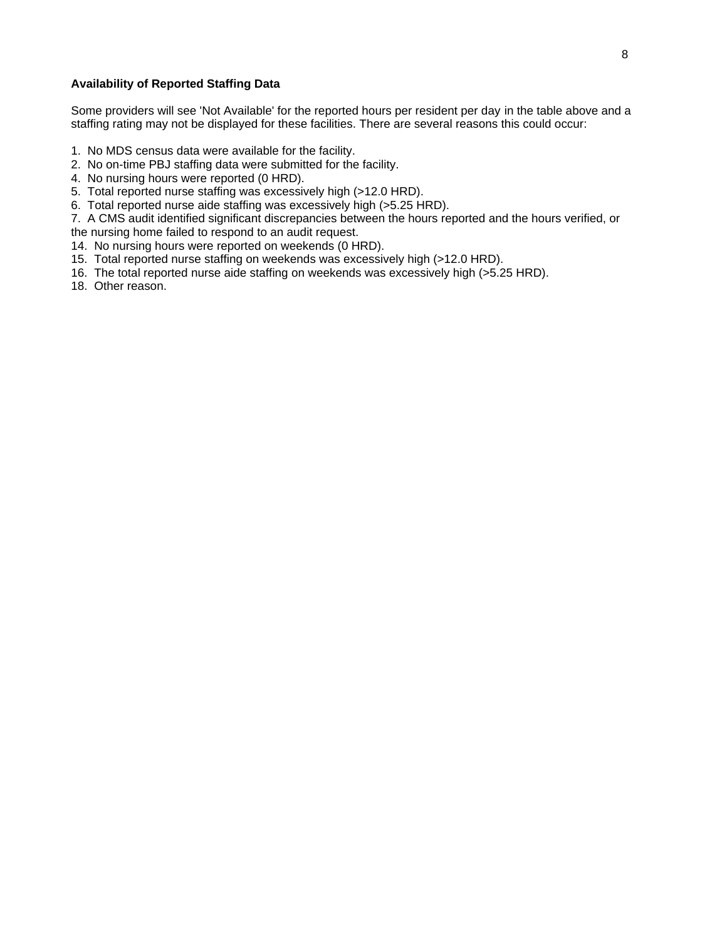#### **Availability of Reported Staffing Data**

Some providers will see 'Not Available' for the reported hours per resident per day in the table above and a staffing rating may not be displayed for these facilities. There are several reasons this could occur:

- 1. No MDS census data were available for the facility.
- 2. No on-time PBJ staffing data were submitted for the facility.
- 4. No nursing hours were reported (0 HRD).
- 5. Total reported nurse staffing was excessively high (>12.0 HRD).
- 6. Total reported nurse aide staffing was excessively high (>5.25 HRD).

7. A CMS audit identified significant discrepancies between the hours reported and the hours verified, or the nursing home failed to respond to an audit request.

14. No nursing hours were reported on weekends (0 HRD).

- 15. Total reported nurse staffing on weekends was excessively high (>12.0 HRD).
- 16. The total reported nurse aide staffing on weekends was excessively high (>5.25 HRD).
- 18. Other reason.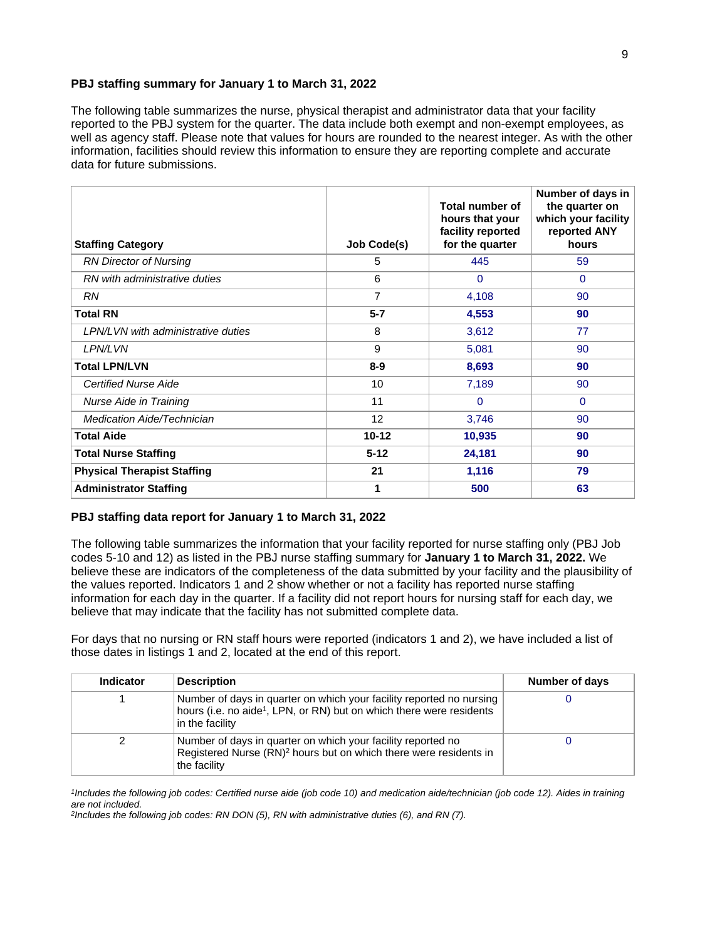#### **PBJ staffing summary for January 1 to March 31, 2022**

The following table summarizes the nurse, physical therapist and administrator data that your facility reported to the PBJ system for the quarter. The data include both exempt and non-exempt employees, as well as agency staff. Please note that values for hours are rounded to the nearest integer. As with the other information, facilities should review this information to ensure they are reporting complete and accurate data for future submissions.

| <b>Staffing Category</b>                  | <b>Job Code(s)</b> | Total number of<br>hours that your<br>facility reported<br>for the quarter | Number of days in<br>the quarter on<br>which your facility<br>reported ANY<br>hours |
|-------------------------------------------|--------------------|----------------------------------------------------------------------------|-------------------------------------------------------------------------------------|
| <b>RN Director of Nursing</b>             | 5                  | 445                                                                        | 59                                                                                  |
| RN with administrative duties             | 6                  | $\Omega$                                                                   | $\mathbf 0$                                                                         |
| <b>RN</b>                                 | 7                  | 4,108                                                                      | 90                                                                                  |
| <b>Total RN</b>                           | $5 - 7$            | 4,553                                                                      | 90                                                                                  |
| <b>LPN/LVN with administrative duties</b> | 8                  | 3,612                                                                      | 77                                                                                  |
| <b>LPN/LVN</b>                            | 9                  | 5,081                                                                      | 90                                                                                  |
| <b>Total LPN/LVN</b>                      | $8 - 9$            | 8,693                                                                      | 90                                                                                  |
| <b>Certified Nurse Aide</b>               | 10                 | 7,189                                                                      | 90                                                                                  |
| Nurse Aide in Training                    | 11                 | $\mathbf 0$                                                                | $\mathbf{0}$                                                                        |
| <b>Medication Aide/Technician</b>         | 12                 | 3,746                                                                      | 90                                                                                  |
| <b>Total Aide</b>                         | $10 - 12$          | 10,935                                                                     | 90                                                                                  |
| <b>Total Nurse Staffing</b>               | $5 - 12$           | 24,181                                                                     | 90                                                                                  |
| <b>Physical Therapist Staffing</b>        | 21                 | 1,116                                                                      | 79                                                                                  |
| <b>Administrator Staffing</b>             | 1                  | 500                                                                        | 63                                                                                  |

#### **PBJ staffing data report for January 1 to March 31, 2022**

The following table summarizes the information that your facility reported for nurse staffing only (PBJ Job codes 5-10 and 12) as listed in the PBJ nurse staffing summary for **January 1 to March 31, 2022.** We believe these are indicators of the completeness of the data submitted by your facility and the plausibility of the values reported. Indicators 1 and 2 show whether or not a facility has reported nurse staffing information for each day in the quarter. If a facility did not report hours for nursing staff for each day, we believe that may indicate that the facility has not submitted complete data.

For days that no nursing or RN staff hours were reported (indicators 1 and 2), we have included a list of those dates in listings 1 and 2, located at the end of this report.

| <b>Indicator</b> | <b>Description</b>                                                                                                                                                          | Number of days |
|------------------|-----------------------------------------------------------------------------------------------------------------------------------------------------------------------------|----------------|
|                  | Number of days in quarter on which your facility reported no nursing<br>hours (i.e. no aide <sup>1</sup> , LPN, or RN) but on which there were residents<br>in the facility |                |
| 2                | Number of days in quarter on which your facility reported no<br>Registered Nurse (RN) <sup>2</sup> hours but on which there were residents in<br>the facility               |                |

1 Includes the following job codes: Certified nurse aide (job code 10) and medication aide/technician (job code 12). Aides in training are not included.

2 Includes the following job codes: RN DON (5), RN with administrative duties (6), and RN (7).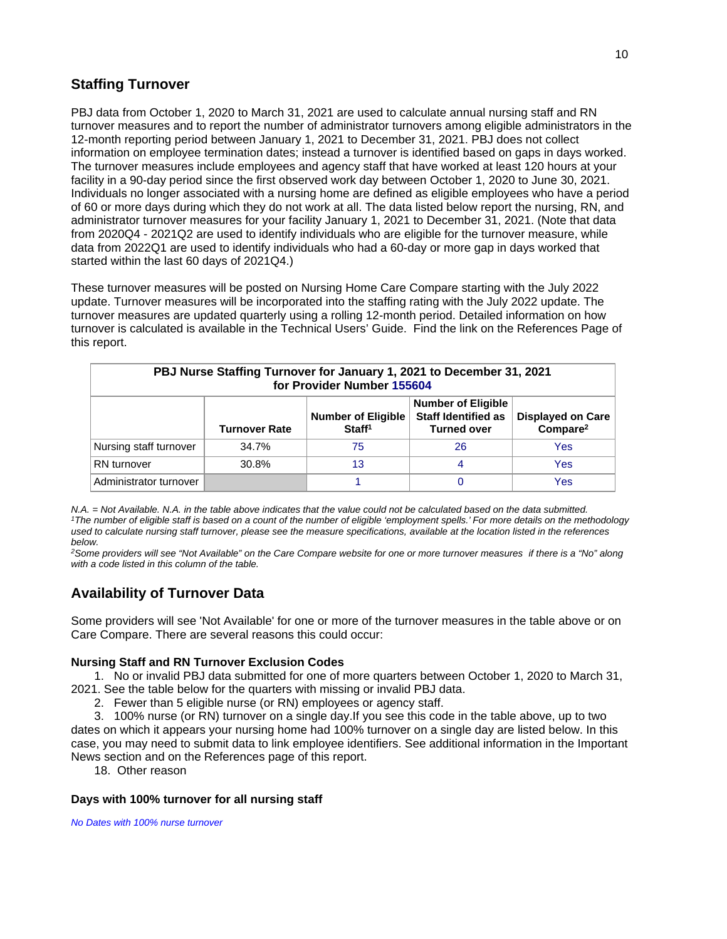# **Staffing Turnover**

PBJ data from October 1, 2020 to March 31, 2021 are used to calculate annual nursing staff and RN turnover measures and to report the number of administrator turnovers among eligible administrators in the 12-month reporting period between January 1, 2021 to December 31, 2021. PBJ does not collect information on employee termination dates; instead a turnover is identified based on gaps in days worked. The turnover measures include employees and agency staff that have worked at least 120 hours at your facility in a 90-day period since the first observed work day between October 1, 2020 to June 30, 2021. Individuals no longer associated with a nursing home are defined as eligible employees who have a period of 60 or more days during which they do not work at all. The data listed below report the nursing, RN, and administrator turnover measures for your facility January 1, 2021 to December 31, 2021. (Note that data from 2020Q4 - 2021Q2 are used to identify individuals who are eligible for the turnover measure, while data from 2022Q1 are used to identify individuals who had a 60-day or more gap in days worked that started within the last 60 days of 2021Q4.)

These turnover measures will be posted on Nursing Home Care Compare starting with the July 2022 update. Turnover measures will be incorporated into the staffing rating with the July 2022 update. The turnover measures are updated quarterly using a rolling 12-month period. Detailed information on how turnover is calculated is available in the Technical Users' Guide. Find the link on the References Page of this report.

| PBJ Nurse Staffing Turnover for January 1, 2021 to December 31, 2021<br>for Provider Number 155604                                                                                                           |       |    |    |     |  |
|--------------------------------------------------------------------------------------------------------------------------------------------------------------------------------------------------------------|-------|----|----|-----|--|
| <b>Number of Eligible</b><br><b>Staff Identified as</b><br><b>Displayed on Care</b><br><b>Number of Eligible</b><br>Compare <sup>2</sup><br>Staff <sup>1</sup><br><b>Turned over</b><br><b>Turnover Rate</b> |       |    |    |     |  |
| Nursing staff turnover                                                                                                                                                                                       | 34.7% | 75 | 26 | Yes |  |
| RN turnover                                                                                                                                                                                                  | 30.8% | 13 | 4  | Yes |  |
| Administrator turnover                                                                                                                                                                                       |       |    |    | Yes |  |

N.A. = Not Available. N.A. in the table above indicates that the value could not be calculated based on the data submitted. <sup>1</sup>The number of eligible staff is based on a count of the number of eligible 'employment spells.' For more details on the methodology used to calculate nursing staff turnover, please see the measure specifications, available at the location listed in the references below.

<sup>2</sup>Some providers will see "Not Available" on the Care Compare website for one or more turnover measures if there is a "No" along with a code listed in this column of the table.

# **Availability of Turnover Data**

Some providers will see 'Not Available' for one or more of the turnover measures in the table above or on Care Compare. There are several reasons this could occur:

#### **Nursing Staff and RN Turnover Exclusion Codes**

 1. No or invalid PBJ data submitted for one of more quarters between October 1, 2020 to March 31, 2021. See the table below for the quarters with missing or invalid PBJ data.

2. Fewer than 5 eligible nurse (or RN) employees or agency staff.

 3. 100% nurse (or RN) turnover on a single day.If you see this code in the table above, up to two dates on which it appears your nursing home had 100% turnover on a single day are listed below. In this case, you may need to submit data to link employee identifiers. See additional information in the Important News section and on the References page of this report.

18. Other reason

#### **Days with 100% turnover for all nursing staff**

No Dates with 100% nurse turnover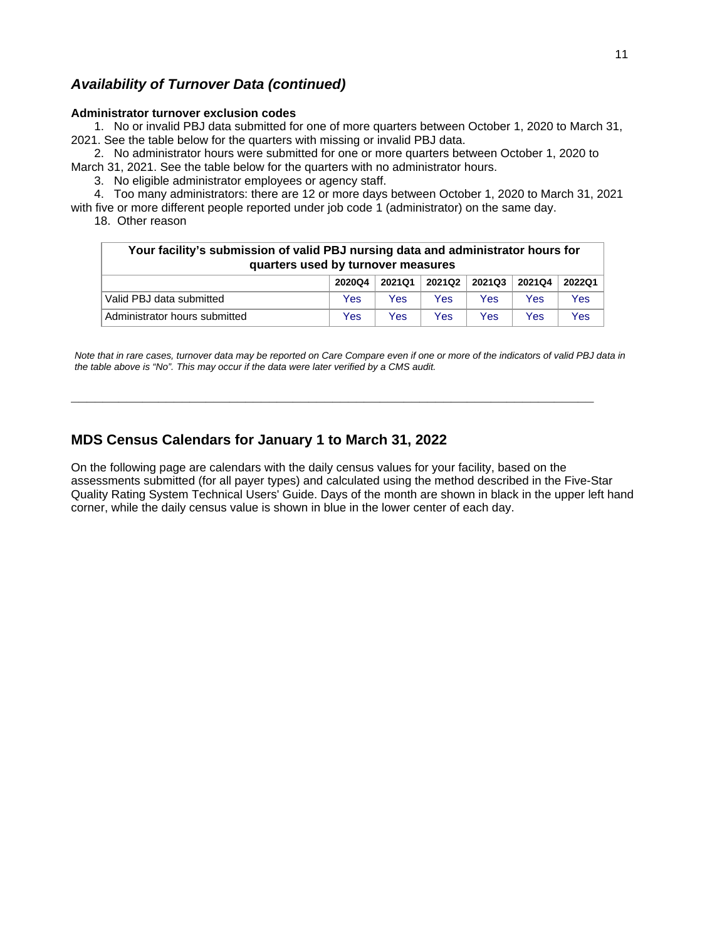# **Availability of Turnover Data (continued)**

#### **Administrator turnover exclusion codes**

 1. No or invalid PBJ data submitted for one of more quarters between October 1, 2020 to March 31, 2021. See the table below for the quarters with missing or invalid PBJ data.

 2. No administrator hours were submitted for one or more quarters between October 1, 2020 to March 31, 2021. See the table below for the quarters with no administrator hours.

3. No eligible administrator employees or agency staff.

 4. Too many administrators: there are 12 or more days between October 1, 2020 to March 31, 2021 with five or more different people reported under job code 1 (administrator) on the same day.

18. Other reason

| Your facility's submission of valid PBJ nursing data and administrator hours for<br>quarters used by turnover measures |        |        |        |        |        |        |
|------------------------------------------------------------------------------------------------------------------------|--------|--------|--------|--------|--------|--------|
|                                                                                                                        | 2020Q4 | 2021Q1 | 2021Q2 | 2021Q3 | 2021Q4 | 2022Q1 |
| Valid PBJ data submitted                                                                                               | Yes    | Yes    | Yes    | Yes    | Yes    | Yes    |
| Administrator hours submitted                                                                                          | Yes    | Yes    | Yes    | Yes    | Yes    | Yes    |

Note that in rare cases, turnover data may be reported on Care Compare even if one or more of the indicators of valid PBJ data in the table above is "No". This may occur if the data were later verified by a CMS audit.

**\_\_\_\_\_\_\_\_\_\_\_\_\_\_\_\_\_\_\_\_\_\_\_\_\_\_\_\_\_\_\_\_\_\_\_\_\_\_\_\_\_\_\_\_\_\_\_\_\_\_\_\_\_\_\_\_\_\_\_\_\_\_\_\_\_\_**

# **MDS Census Calendars for January 1 to March 31, 2022**

On the following page are calendars with the daily census values for your facility, based on the assessments submitted (for all payer types) and calculated using the method described in the Five-Star Quality Rating System Technical Users' Guide. Days of the month are shown in black in the upper left hand corner, while the daily census value is shown in blue in the lower center of each day.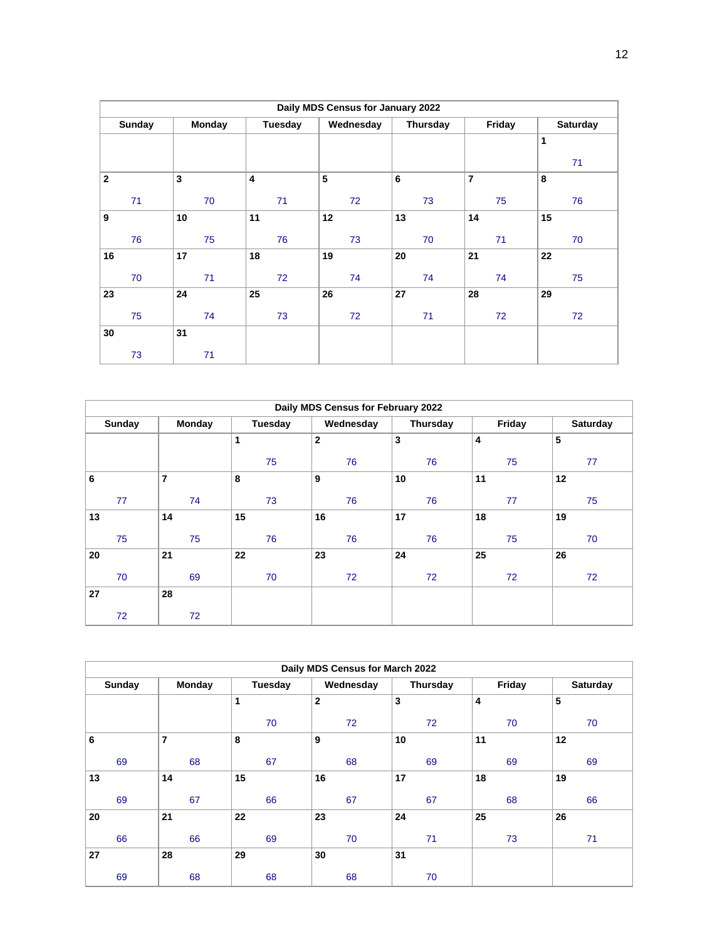| Daily MDS Census for January 2022 |               |         |                       |    |                |                 |  |
|-----------------------------------|---------------|---------|-----------------------|----|----------------|-----------------|--|
| <b>Sunday</b>                     | <b>Monday</b> | Tuesday | Wednesday<br>Thursday |    | Friday         | <b>Saturday</b> |  |
|                                   |               |         |                       |    |                | 1               |  |
|                                   |               |         |                       |    |                | 71              |  |
| $\mathbf{2}$                      | $\mathbf{3}$  | 4       | 5                     | 6  | $\overline{7}$ | 8               |  |
| 71                                | 70            | 71      | 72                    | 73 | 75             | 76              |  |
| 9                                 | 10            | 11      | 12                    | 13 | 14             | 15              |  |
| 76                                | 75            | 76      | 73                    | 70 | 71             | 70              |  |
| 16                                | 17            | 18      | 19                    | 20 | 21             | 22              |  |
| 70                                | 71            | 72      | 74                    | 74 | 74             | 75              |  |
| 23                                | 24            | 25      | 26                    | 27 | 28             | 29              |  |
| 75                                | 74            | 73      | 72                    | 71 | 72             | 72              |  |
| 30                                | 31            |         |                       |    |                |                 |  |
| 73                                | 71            |         |                       |    |                |                 |  |

| Daily MDS Census for February 2022 |                |         |              |          |        |                 |
|------------------------------------|----------------|---------|--------------|----------|--------|-----------------|
| <b>Sunday</b>                      | <b>Monday</b>  | Tuesday | Wednesday    | Thursday | Friday | <b>Saturday</b> |
|                                    |                | 1       | $\mathbf{2}$ | 3        | 4      | 5               |
|                                    |                | 75      | 76           | 76       | 75     | 77              |
| 6                                  | $\overline{7}$ | 8       | 9            | 10       | 11     | 12              |
| 77                                 | 74             | 73      | 76           | 76       | 77     | 75              |
| 13                                 | 14             | 15      | 16           | 17       | 18     | 19              |
| 75                                 | 75             | 76      | 76           | 76       | 75     | 70              |
| 20                                 | 21             | 22      | 23           | 24       | 25     | 26              |
| 70                                 | 69             | 70      | 72           | 72       | 72     | 72              |
| 27                                 | 28             |         |              |          |        |                 |
| 72                                 | 72             |         |              |          |        |                 |

| Daily MDS Census for March 2022 |                |         |              |                 |        |          |
|---------------------------------|----------------|---------|--------------|-----------------|--------|----------|
| <b>Sunday</b>                   | Monday         | Tuesday | Wednesday    | <b>Thursday</b> | Friday | Saturday |
|                                 |                | 1       | $\mathbf{2}$ | $\mathbf{3}$    | 4      | 5        |
|                                 |                | 70      | 72           | 72              | 70     | 70       |
| 6                               | $\overline{7}$ | 8       | 9            | 10              | 11     | 12       |
| 69                              | 68             | 67      | 68           | 69              | 69     | 69       |
| 13                              | 14             | 15      | 16           | 17              | 18     | 19       |
| 69                              | 67             | 66      | 67           | 67              | 68     | 66       |
| 20                              | 21             | 22      | 23           | 24              | 25     | 26       |
| 66                              | 66             | 69      | 70           | 71              | 73     | 71       |
| 27                              | 28             | 29      | 30           | 31              |        |          |
| 69                              | 68             | 68      | 68           | 70              |        |          |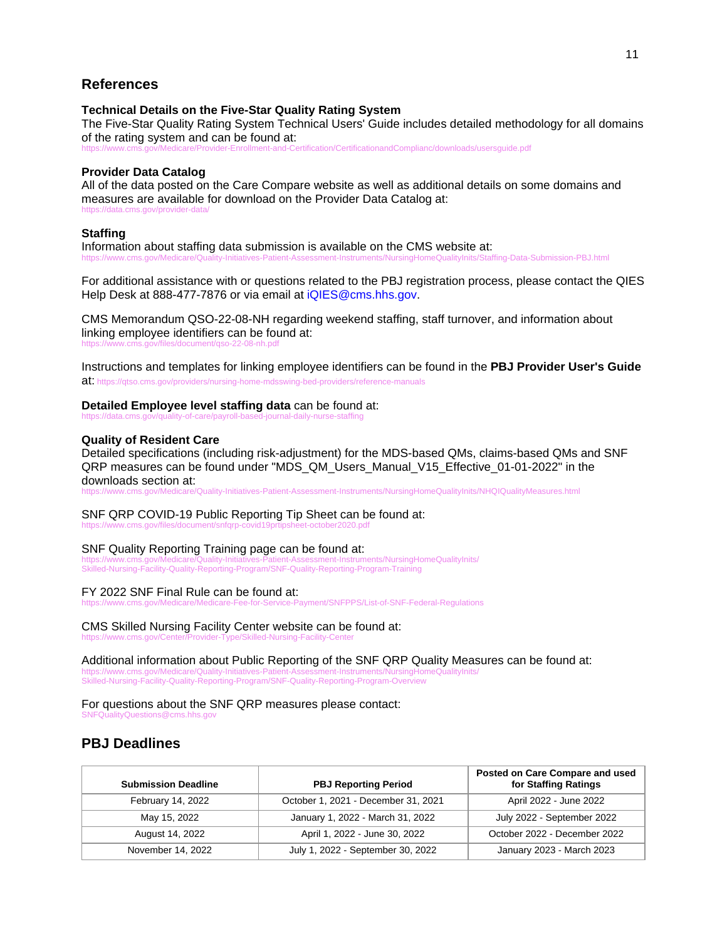### **References**

#### **Technical Details on the Five-Star Quality Rating System**

The Five-Star Quality Rating System Technical Users' Guide includes detailed methodology for all domains of the rating system and can be found at:

er-Enrollment-and-Certification/CertificationandComplianc/downloads/usersquide.pdf

#### **Provider Data Catalog**

All of the data posted on the Care Compare website as well as additional details on some domains and measures are available for download on the Provider Data Catalog at: https://data.cms.gov/provider-data/

#### **Staffing**

Information about staffing data submission is available on the CMS website at: https://www.cms.gov/Medicare/Quality-Initiatives-Patient-Assessment-Instruments/NursingHomeQualityInits/Staffing-Data-Submission-PBJ.html

For additional assistance with or questions related to the PBJ registration process, please contact the QIES Help Desk at 888-477-7876 or via email at iQIES@cms.hhs.gov.

CMS Memorandum QSO-22-08-NH regarding weekend staffing, staff turnover, and information about linking employee identifiers can be found at: s/document/gso-22-08-nh.pdf

Instructions and templates for linking employee identifiers can be found in the **PBJ Provider User's Guide** at: https://qtso.cms.gov/providers/nursing-home-mdsswing-bed-providers/reference-manuals

#### **Detailed Employee level staffing data** can be found at:

https://data.cms.gov/quality-of-care/payroll-based-journal-daily-nurse-staffing

#### **Quality of Resident Care**

Detailed specifications (including risk-adjustment) for the MDS-based QMs, claims-based QMs and SNF QRP measures can be found under "MDS\_QM\_Users\_Manual\_V15\_Effective\_01-01-2022" in the downloads section at:

https://www.cms.gov/Medicare/Quality-Initiatives-Patient-Assessment-Instruments/NursingHomeQualityInits/NHQIQualityMeasures.html

# SNF QRP COVID-19 Public Reporting Tip Sheet can be found at:

https://www.cms.gov/files/document/snfgrp-cc

# SNF Quality Reporting Training page can be found at:<br>https://www.cms.gov/Medicare/Quality-Initiatives-Patient-Assessment-Instruments/NursingHomeQualityInits/

https://www.cms.gov/Medicare/Quality-Initiatives-Patient-Assessment-Instruments/NursingHomeQualityInits/ Skilled-Nursing-Facility-Quality-Reporting-Program/SNF-Quality-Reporting-Program-Training

FY 2022 SNF Final Rule can be found at:

Fee-for-Service-Payment/SNFPPS/List-of-SNF-Federal-Regulations

CMS Skilled Nursing Facility Center website can be found at: https://www.cms.gov/Center/Provider-Type/Skilled-Nursing-Facility-Center

Additional information about Public Reporting of the SNF QRP Quality Measures can be found at: https://www.cms.gov/Medicare/Quality-Initiatives-Patient-Assessment-Instruments/NursingHomeQualityInits/ Skilled-Nursing-Facility-Quality-Reporting-Program/SNF-Quality-Reporting-Program-Overview

For questions about the SNF QRP measures please contact: SNFQualityQuestions@cms.hhs.gov

### **PBJ Deadlines**

| <b>Submission Deadline</b> | <b>PBJ Reporting Period</b>         | Posted on Care Compare and used<br>for Staffing Ratings |
|----------------------------|-------------------------------------|---------------------------------------------------------|
| February 14, 2022          | October 1, 2021 - December 31, 2021 | April 2022 - June 2022                                  |
| May 15, 2022               | January 1, 2022 - March 31, 2022    | July 2022 - September 2022                              |
| August 14, 2022            | April 1, 2022 - June 30, 2022       | October 2022 - December 2022                            |
| November 14, 2022          | July 1, 2022 - September 30, 2022   | January 2023 - March 2023                               |